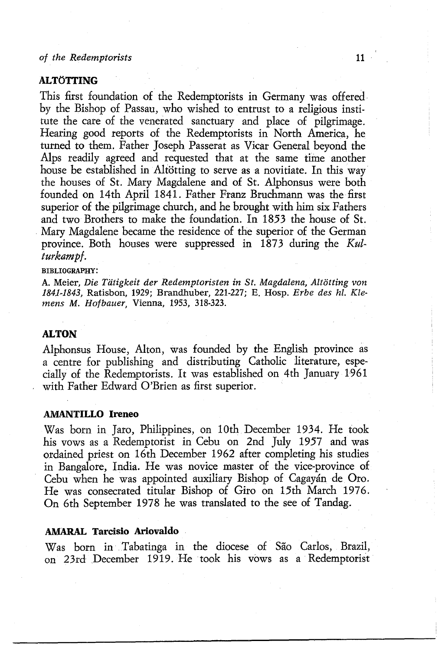## **AMARAL Tarcisio Ariovaldo**  Was born in Tabatinga in the diocese of Sao Carlos, Brazil, on 23rd December 1919. He took his vows as a Redemptorist